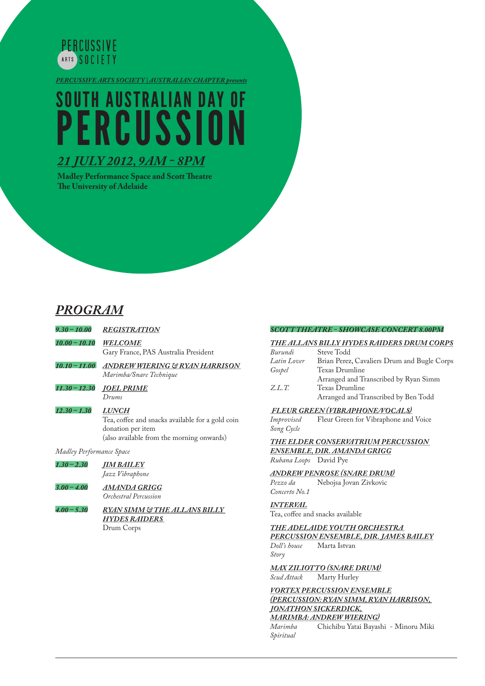

*PERCUSSIVE ARTS SOCIET Y | AUSTRALIAN CHAPTER presents*

# SOUTH AUSTRALIAN DAY OF **PERCUSSION**

## *21 JULY 2012, 9AM - 8PM*

**Madley Performance Space and Scott Theatre The University of Adelaide**

# *PROGRAM*

*9.30 – 10.00 REGISTRATION 10.00 – 10.10 WELCOME* Gary France, PAS Australia President *10.10 – 11.00 ANDREW WIERING & RYAN HARRISON* 

*Marimba/Snare Technique* 

*11.30 – 12.30 JOEL PRIME Drums*

### *12.30 – 1.30 LUNCH*

Tea, coffee and snacks available for a gold coin donation per item (also available from the morning onwards)

*Madley Performance Space*

*1.30 – 2.30 JIM BAILEY Jazz Vibraphone*

### *3.00 – 4.00 AMANDA GRIGG Orchestral Percussion*

*4.00 – 5.30 RYAN SIMM & THE ALLANS BILLY HYDES RAIDERS*  Drum Corps

### *SCOTT THEATRE - SHOWCASE CONCERT 8.00PM*

#### *THE ALLANS BILLY HYDES RAIDERS DRUM CORPS* **Steve Todd**

|             | $\cdots$ . $\cdots$                         |
|-------------|---------------------------------------------|
| Latin Lover | Brian Perez, Cavaliers Drum and Bugle Corps |
| Gospel      | Texas Drumline                              |
|             | Arranged and Transcribed by Ryan Simm       |
| Z.L.T.      | Texas Drumline                              |
|             | Arranged and Transcribed by Ben Todd        |
|             |                                             |

# *FLEUR GREEN (VIBRAPHONE/VOCALS)*

Fleur Green for Vibraphone and Voice *Song Cycle*

*THE ELDER CONSERVATRIUM PERCUSSION ENSEMBLE, DIR. AMANDA GRIGG Rubana Loops* David Pye

# *ANDREW PENROSE (SNARE DRUM)*

*Pezzo da* Nebojsa Jovan Zivkovic *Concerto No.1*

### *INTERVAL*

Tea, coffee and snacks available

### *THE ADELAIDE YOUTH ORCHESTRA*

*PERCUSSION ENSEMBLE, DIR. JAMES BAILEY Doll's house* Marta Istvan

*Story*

*MAX ZILIOTTO (SNARE DRUM) Scud Attack* Marty Hurley

#### *VORTEX PERCUSSION ENSEMBLE (PERCUSSION: RYAN SIMM, RYAN HARRISON, JONATHON SICKERDICK,*

*MARIMBA: ANDREW WIERING) Marimba* Chichibu Yatai Bayashi - Minoru Miki *Spiritual*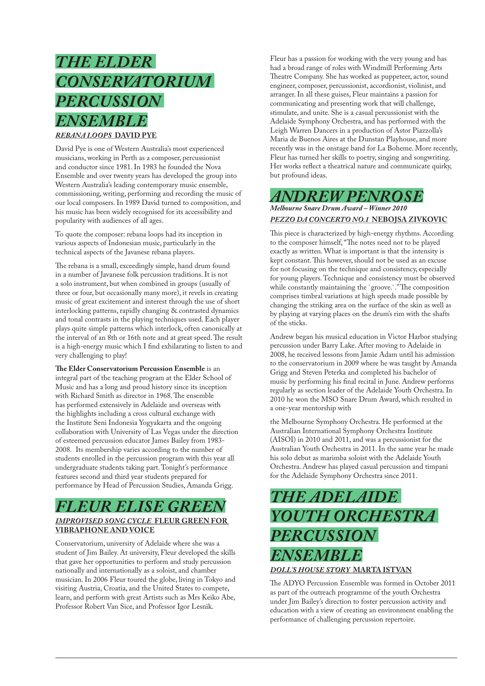# *THE ELDER CONSERVATORIUM PERCUSSION ENSEMBLE REBANA LOOPS* **DAVID PYE**

David Pye is one of Western Australia's most experienced musicians, working in Perth as a composer, percussionist and conductor since 1981. In 1983 he founded the Nova Ensemble and over twenty years has developed the group into Western Australia's leading contemporary music ensemble, commissioning, writing, performing and recording the music of our local composers. In 1989 David turned to composition, and his music has been widely recognised for its accessibility and popularity with audiences of all ages.

To quote the composer: rebana loops had its inception in various aspects of Indonesian music, particularly in the technical aspects of the Javanese rebana players.

The rebana is a small, exceedingly simple, hand drum found in a number of Javanese folk percussion traditions. It is not a solo instrument, but when combined in groups (usually of three or four, but occasionally many more), it revels in creating music of great excitement and interest through the use of short interlocking patterns, rapidly changing & contrasted dynamics and tonal contrasts in the playing techniques used. Each player plays quite simple patterns which interlock, often canonically at the interval of an 8th or 16th note and at great speed. The result is a high-energy music which I find exhilarating to listen to and very challenging to play!

**The Elder Conservatorium Percussion Ensemble** is an integral part of the teaching program at the Elder School of Music and has a long and proud history since its inception with Richard Smith as director in 1968. The ensemble has performed extensively in Adelaide and overseas with the highlights including a cross cultural exchange with the Institute Seni Indonesia Yogyakarta and the ongoing collaboration with University of Las Vegas under the direction of esteemed percussion educator James Bailey from 1983- 2008. Its membership varies according to the number of students enrolled in the percussion program with this year all undergraduate students taking part. Tonight's performance features second and third year students prepared for performance by Head of Percussion Studies, Amanda Grigg.

### *FLEUR ELISE GREEN IMPROVISED SONG CYCLE* **FLEUR GREEN FOR VIBRAPHONE AND VOICE**

Conservatorium, university of Adelaide where she was a student of Jim Bailey. At university, Fleur developed the skills that gave her opportunities to perform and study percussion nationally and internationally as a soloist, and chamber musician. In 2006 Fleur toured the globe, living in Tokyo and visiting Austria, Croatia, and the United States to compete, learn, and perform with great Artists such as Mrs Keiko Abe, Professor Robert Van Sice, and Professor Igor Lesnik.

Fleur has a passion for working with the very young and has had a broad range of roles with Windmill Performing Arts Theatre Company. She has worked as puppeteer, actor, sound engineer, composer, percussionist, accordionist, violinist, and arranger. In all these guises, Fleur maintains a passion for communicating and presenting work that will challenge, stimulate, and unite. She is a casual percussionist with the Adelaide Symphony Orchestra, and has performed with the Leigh Warren Dancers in a production of Astor Piazzolla's Maria de Buenos Aires at the Dunstan Playhouse, and more recently was in the onstage band for La Boheme. More recently, Fleur has turned her skills to poetry, singing and songwriting. Her works reflect a theatrical nature and communicate quirky, but profound ideas.

# *ANDREW PENROSE*

### *Melbourne Snare Drum Award – Winner 2010 PEZZO DA CONCERTO NO.1* **NEBOJSA ZIVKOVIC**

This piece is characterized by high-energy rhythms. According to the composer himself, "The notes need not to be played exactly as written. What is important is that the intensity is kept constant. This however, should not be used as an excuse for not focusing on the technique and consistency, especially for young players. Technique and consistency must be observed while constantly maintaining the `groove.`." The composition comprises timbral variations at high speeds made possible by changing the striking area on the surface of the skin as well as by playing at varying places on the drum's rim with the shafts of the sticks.

Andrew began his musical education in Victor Harbor studying percussion under Barry Lake. After moving to Adelaide in 2008, he received lessons from Jamie Adam until his admission to the conservatorium in 2009 where he was taught by Amanda Grigg and Steven Peterka and completed his bachelor of music by performing his final recital in June. Andrew performs regularly as section leader of the Adelaide Youth Orchestra. In 2010 he won the MSO Snare Drum Award, which resulted in a one-year mentorship with

the Melbourne Symphony Orchestra. He performed at the Australian International Symphony Orchestra Institute (AISOI) in 2010 and 2011, and was a percussionist for the Australian Youth Orchestra in 2011. In the same year he made his solo debut as marimba soloist with the Adelaide Youth Orchestra. Andrew has played casual percussion and timpani for the Adelaide Symphony Orchestra since 2011.

# *THE ADELAIDE YOUTH ORCHESTRA PERCUSSION ENSEMBLE*

### *DOLL'S HOUSE STORY* **MARTA ISTVAN**

The ADYO Percussion Ensemble was formed in October 2011 as part of the outreach programme of the youth Orchestra under Jim Bailey's direction to foster percussion activity and education with a view of creating an environment enabling the performance of challenging percussion repertoire.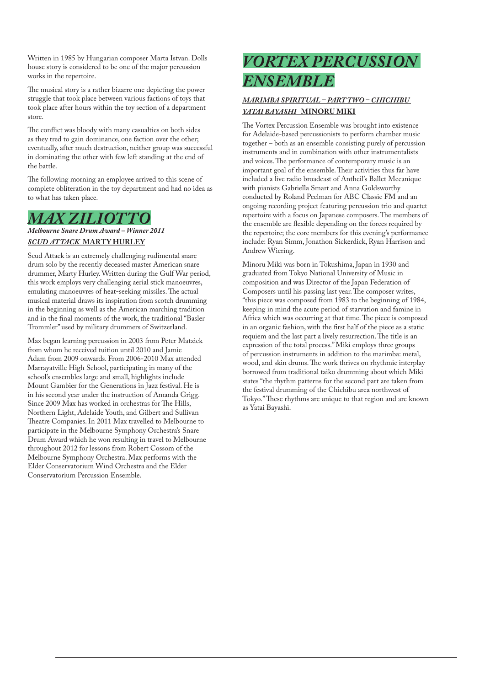Written in 1985 by Hungarian composer Marta Istvan. Dolls house story is considered to be one of the major percussion works in the repertoire.

The musical story is a rather bizarre one depicting the power struggle that took place between various factions of toys that took place after hours within the toy section of a department store.

The conflict was bloody with many casualties on both sides as they tred to gain dominance, one faction over the other; eventually, after much destruction, neither group was successful in dominating the other with few left standing at the end of the battle.

The following morning an employee arrived to this scene of complete obliteration in the toy department and had no idea as to what has taken place.

# *MAX ZILIOTTO*

*Melbourne Snare Drum Award – Winner 2011 SCUD ATTACK* **MARTY HURLEY**

Scud Attack is an extremely challenging rudimental snare drum solo by the recently deceased master American snare drummer, Marty Hurley. Written during the Gulf War period, this work employs very challenging aerial stick manoeuvres, emulating manoeuvres of heat-seeking missiles. The actual musical material draws its inspiration from scotch drumming in the beginning as well as the American marching tradition and in the final moments of the work, the traditional "Basler Trommler" used by military drummers of Switzerland.

Max began learning percussion in 2003 from Peter Matzick from whom he received tuition until 2010 and Jamie Adam from 2009 onwards. From 2006-2010 Max attended Marrayatville High School, participating in many of the school's ensembles large and small, highlights include Mount Gambier for the Generations in Jazz festival. He is in his second year under the instruction of Amanda Grigg. Since 2009 Max has worked in orchestras for The Hills, Northern Light, Adelaide Youth, and Gilbert and Sullivan Theatre Companies. In 2011 Max travelled to Melbourne to participate in the Melbourne Symphony Orchestra's Snare Drum Award which he won resulting in travel to Melbourne throughout 2012 for lessons from Robert Cossom of the Melbourne Symphony Orchestra. Max performs with the Elder Conservatorium Wind Orchestra and the Elder Conservatorium Percussion Ensemble.

# *VORTEX PERCUSSION ENSEMBLE*

### *MARIMBA SPIRITUAL – PART TWO – CHICHIBU YATAI BAYASHI* **MINORU MIKI**

The Vortex Percussion Ensemble was brought into existence for Adelaide-based percussionists to perform chamber music together – both as an ensemble consisting purely of percussion instruments and in combination with other instrumentalists and voices. The performance of contemporary music is an important goal of the ensemble. Their activities thus far have included a live radio broadcast of Antheil's Ballet Mecanique with pianists Gabriella Smart and Anna Goldsworthy conducted by Roland Peelman for ABC Classic FM and an ongoing recording project featuring percussion trio and quartet repertoire with a focus on Japanese composers. The members of the ensemble are flexible depending on the forces required by the repertoire; the core members for this evening's performance include: Ryan Simm, Jonathon Sickerdick, Ryan Harrison and Andrew Wiering.

Minoru Miki was born in Tokushima, Japan in 1930 and graduated from Tokyo National University of Music in composition and was Director of the Japan Federation of Composers until his passing last year. The composer writes, "this piece was composed from 1983 to the beginning of 1984, keeping in mind the acute period of starvation and famine in Africa which was occurring at that time. The piece is composed in an organic fashion, with the first half of the piece as a static requiem and the last part a lively resurrection. The title is an expression of the total process." Miki employs three groups of percussion instruments in addition to the marimba: metal, wood, and skin drums. The work thrives on rhythmic interplay borrowed from traditional taiko drumming about which Miki states "the rhythm patterns for the second part are taken from the festival drumming of the Chichibu area northwest of Tokyo." These rhythms are unique to that region and are known as Yatai Bayashi.